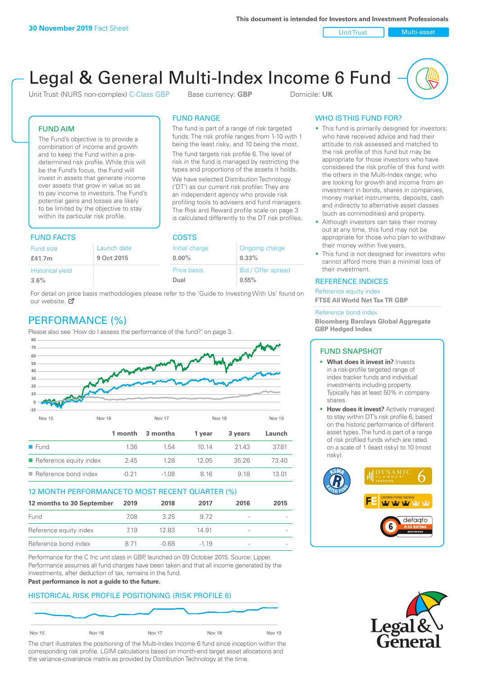Unit Trust Nulti-asset

# Legal & General Multi-Index Income 6 Fund

Unit Trust (NURS non-complex) C-Class GBP Base currency: **GBP** Domicile: UK

The fund is part of a range of risk targeted funds. The risk profile ranges from 1-10 with 1 being the least risky, and 10 being the most. The fund targets risk profile 6. The level of risk in the fund is managed by restricting the types and proportions of the assets it holds. We have selected Distribution Technology ('DT') as our current risk profiler. They are an independent agency who provide risk profiling tools to advisers and fund managers. The Risk and Reward profile scale on page 3 is calculated differently to the DT risk profiles.

FUND RANGE

# FUND AIM

The Fund's objective is to provide a combination of income and growth and to keep the Fund within a predetermined risk profile. While this will be the Fund's focus, the Fund will invest in assets that generate income over assets that grow in value so as to pay income to investors. The Fund's potential gains and losses are likely to be limited by the objective to stay within its particular risk profile.

# FUND FACTS COSTS

| .                       |             |                |                    |  |  |
|-------------------------|-------------|----------------|--------------------|--|--|
| Fund size               | Launch date | Initial charge | Ongoing charge     |  |  |
| £41.7m                  | 9 Oct 2015  | $0.00\%$       | $0.33\%$           |  |  |
| <b>Historical yield</b> |             | Price basis    | Bid / Offer spread |  |  |
| 3.6%                    |             | Dual           | 0.55%              |  |  |

For detail on price basis methodologies please refer to the 'Guide to Investing With Us' found on our website. Ø

# PERFORMANCE (%)

Please also see 'How do I assess the performance of the fund?' on page 3.



## 12 MONTH PERFORMANCE TO MOST RECENT QUARTER (%)

| 12 months to 30 September | 2019 | 2018  | 2017   | 2016                     | 2015 |
|---------------------------|------|-------|--------|--------------------------|------|
| Fund                      | 708. | 325   | 9.72   |                          |      |
| Reference equity index    | 7.19 | 12.83 | 14.91  |                          |      |
| Reference bond index      | 8.71 | -0.68 | $-119$ | $\overline{\phantom{a}}$ |      |

Performance for the C Inc unit class in GBP, launched on 09 October 2015. Source: Lipper. Performance assumes all fund charges have been taken and that all income generated by the investments, after deduction of tax, remains in the fund.

#### **Past performance is not a guide to the future.**

## HISTORICAL RISK PROFILE POSITIONING (RISK PROFILE 6)



The chart illustrates the positioning of the Multi-Index Income 6 fund since inception within the corresponding risk profile. LGIM calculations based on month-end target asset allocations and the variance-covariance matrix as provided by Distribution Technology at the time.

# WHO IS THIS FUND FOR?

- This fund is primarily designed for investors: who have received advice and had their attitude to risk assessed and matched to the risk profile of this fund but may be appropriate for those investors who have considered the risk profile of this fund with the others in the Multi-Index range; who are looking for growth and income from an investment in bonds, shares in companies, money market instruments, deposits, cash and indirectly to alternative asset classes (such as commodities) and property.
- Although investors can take their money out at any time, this fund may not be appropriate for those who plan to withdraw their money within five years.
- This fund is not designed for investors who cannot afford more than a minimal loss of their investment.

## REFERENCE INDICES

Reference equity index **FTSE All World Net Tax TR GBP**

#### Reference bond index

**Bloomberg Barclays Global Aggregate GBP Hedged Index**

#### FUND SNAPSHOT

- **• What does it invest in?** Invests in a risk-profile targeted range of index tracker funds and individual investments including property. Typically has at least 50% in company shares.
- **• How does it invest?** Actively managed to stay within DT's risk profile 6, based on the historic performance of different asset types. The fund is part of a range of risk profiled funds which are rated on a scale of 1 (least risky) to 10 (most risky).



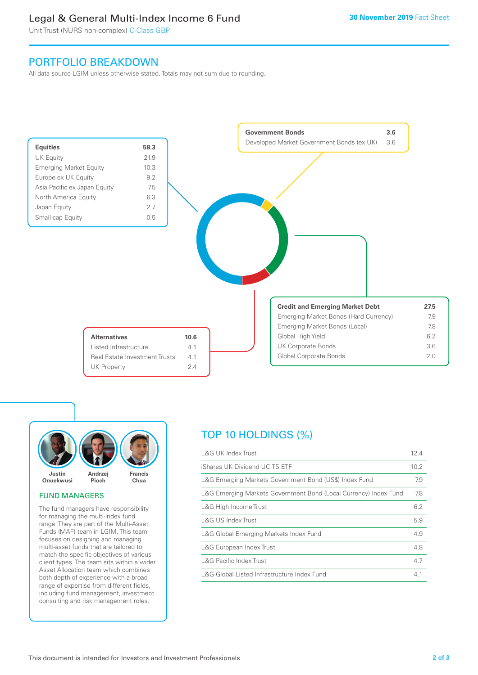# Legal & General Multi-Index Income 6 Fund

Unit Trust (NURS non-complex) C-Class GBP

# PORTFOLIO BREAKDOWN

All data source LGIM unless otherwise stated. Totals may not sum due to rounding.





## FUND MANAGERS

The fund managers have responsibility for managing the multi-index fund range. They are part of the Multi-Asset Funds (MAF) team in LGIM. This team focuses on designing and managing multi-asset funds that are tailored to match the specific objectives of various client types. The team sits within a wider Asset Allocation team which combines both depth of experience with a broad range of expertise from different fields, including fund management, investment consulting and risk management roles.

# TOP 10 HOLDINGS (%)

| <b>L&amp;G UK Index Trust</b>                                    | 12.4 |
|------------------------------------------------------------------|------|
| iShares UK Dividend UCITS ETF                                    | 10.2 |
| L&G Emerging Markets Government Bond (US\$) Index Fund           | 7.9  |
| L&G Emerging Markets Government Bond (Local Currency) Index Fund | 7.8  |
| L&G High Income Trust                                            | 6.2  |
| L&G US Index Trust                                               | 5.9  |
| L&G Global Emerging Markets Index Fund                           | 4.9  |
| L&G European Index Trust                                         | 4.8  |
| <b>L&amp;G Pacific Index Trust</b>                               | 4.7  |
| L&G Global Listed Infrastructure Index Fund                      | 4.1  |